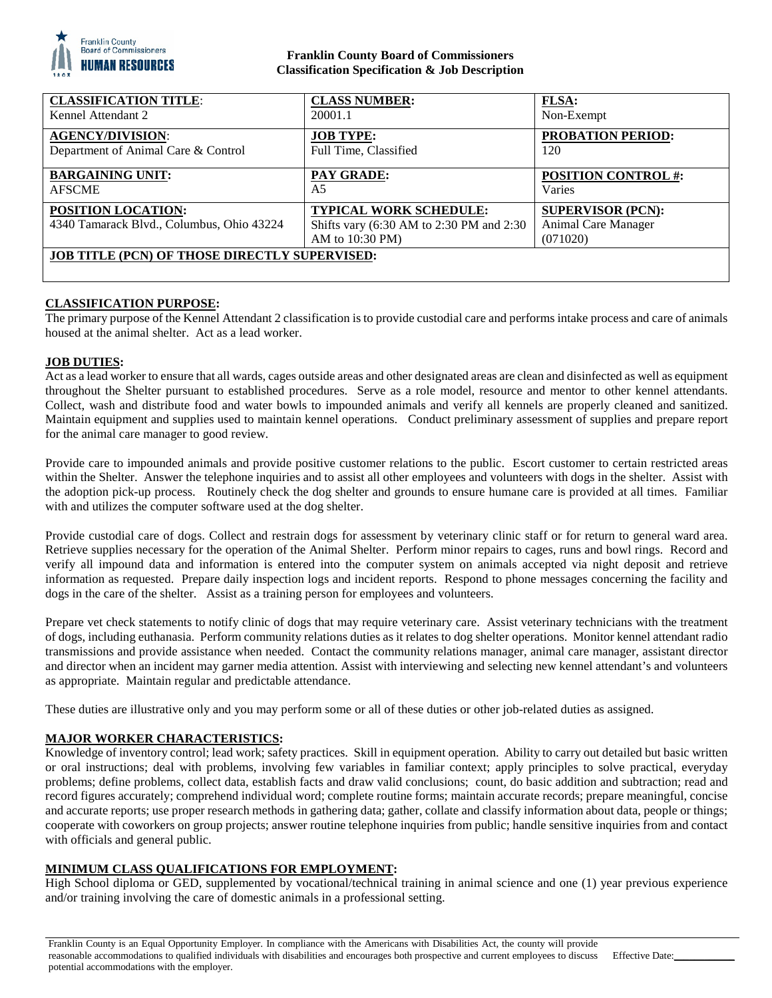

## **Franklin County Board of Commissioners Classification Specification & Job Description**

| <b>CLASSIFICATION TITLE:</b>                                    | <b>CLASS NUMBER:</b>                                                                         | <b>FLSA:</b>                                                |
|-----------------------------------------------------------------|----------------------------------------------------------------------------------------------|-------------------------------------------------------------|
| Kennel Attendant 2                                              | 20001.1                                                                                      | Non-Exempt                                                  |
| <b>AGENCY/DIVISION:</b>                                         | <b>JOB TYPE:</b>                                                                             | <b>PROBATION PERIOD:</b>                                    |
| Department of Animal Care & Control                             | Full Time, Classified                                                                        | 120                                                         |
| <b>BARGAINING UNIT:</b>                                         | <b>PAY GRADE:</b>                                                                            | <b>POSITION CONTROL #:</b>                                  |
| <b>AFSCME</b>                                                   | A5                                                                                           | Varies                                                      |
| POSITION LOCATION:<br>4340 Tamarack Blvd., Columbus, Ohio 43224 | <b>TYPICAL WORK SCHEDULE:</b><br>Shifts vary (6:30 AM to 2:30 PM and 2:30<br>AM to 10:30 PM) | <b>SUPERVISOR (PCN):</b><br>Animal Care Manager<br>(071020) |
| <b>JOB TITLE (PCN) OF THOSE DIRECTLY SUPERVISED:</b>            |                                                                                              |                                                             |

# **CLASSIFICATION PURPOSE:**

The primary purpose of the Kennel Attendant 2 classification is to provide custodial care and performs intake process and care of animals housed at the animal shelter. Act as a lead worker.

## **JOB DUTIES:**

Act as a lead worker to ensure that all wards, cages outside areas and other designated areas are clean and disinfected as well as equipment throughout the Shelter pursuant to established procedures. Serve as a role model, resource and mentor to other kennel attendants. Collect, wash and distribute food and water bowls to impounded animals and verify all kennels are properly cleaned and sanitized. Maintain equipment and supplies used to maintain kennel operations. Conduct preliminary assessment of supplies and prepare report for the animal care manager to good review.

Provide care to impounded animals and provide positive customer relations to the public. Escort customer to certain restricted areas within the Shelter. Answer the telephone inquiries and to assist all other employees and volunteers with dogs in the shelter. Assist with the adoption pick-up process. Routinely check the dog shelter and grounds to ensure humane care is provided at all times. Familiar with and utilizes the computer software used at the dog shelter.

Provide custodial care of dogs. Collect and restrain dogs for assessment by veterinary clinic staff or for return to general ward area. Retrieve supplies necessary for the operation of the Animal Shelter. Perform minor repairs to cages, runs and bowl rings. Record and verify all impound data and information is entered into the computer system on animals accepted via night deposit and retrieve information as requested. Prepare daily inspection logs and incident reports. Respond to phone messages concerning the facility and dogs in the care of the shelter. Assist as a training person for employees and volunteers.

Prepare vet check statements to notify clinic of dogs that may require veterinary care. Assist veterinary technicians with the treatment of dogs, including euthanasia. Perform community relations duties as it relates to dog shelter operations. Monitor kennel attendant radio transmissions and provide assistance when needed. Contact the community relations manager, animal care manager, assistant director and director when an incident may garner media attention. Assist with interviewing and selecting new kennel attendant's and volunteers as appropriate. Maintain regular and predictable attendance.

These duties are illustrative only and you may perform some or all of these duties or other job-related duties as assigned.

## **MAJOR WORKER CHARACTERISTICS:**

Knowledge of inventory control; lead work; safety practices. Skill in equipment operation. Ability to carry out detailed but basic written or oral instructions; deal with problems, involving few variables in familiar context; apply principles to solve practical, everyday problems; define problems, collect data, establish facts and draw valid conclusions; count, do basic addition and subtraction; read and record figures accurately; comprehend individual word; complete routine forms; maintain accurate records; prepare meaningful, concise and accurate reports; use proper research methods in gathering data; gather, collate and classify information about data, people or things; cooperate with coworkers on group projects; answer routine telephone inquiries from public; handle sensitive inquiries from and contact with officials and general public.

## **MINIMUM CLASS QUALIFICATIONS FOR EMPLOYMENT:**

High School diploma or GED, supplemented by vocational/technical training in animal science and one (1) year previous experience and/or training involving the care of domestic animals in a professional setting.

Franklin County is an Equal Opportunity Employer. In compliance with the Americans with Disabilities Act, the county will provide reasonable accommodations to qualified individuals with disabilities and encourages both prospective and current employees to discuss potential accommodations with the employer. Effective Date: